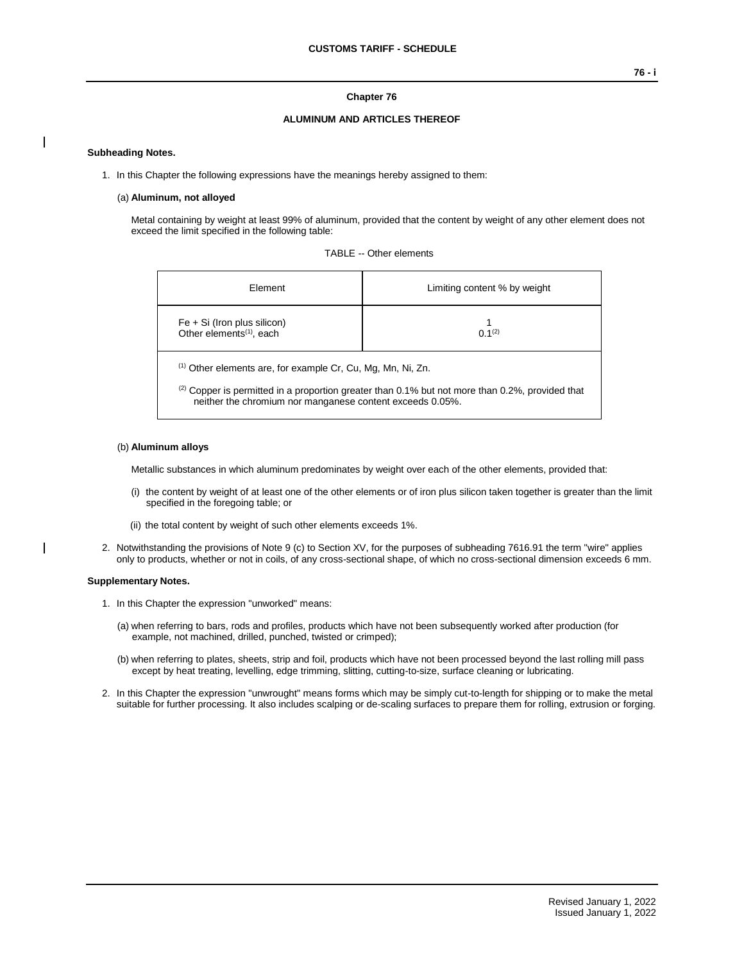### **Chapter 76**

### **ALUMINUM AND ARTICLES THEREOF**

### **Subheading Notes.**

1. In this Chapter the following expressions have the meanings hereby assigned to them:

#### (a) **Aluminum, not alloyed**

Metal containing by weight at least 99% of aluminum, provided that the content by weight of any other element does not exceed the limit specified in the following table:

| TABLE -- Other elements |  |  |
|-------------------------|--|--|
|-------------------------|--|--|

| Element                                                                                                                                                                                                                                     | Limiting content % by weight |  |  |  |
|---------------------------------------------------------------------------------------------------------------------------------------------------------------------------------------------------------------------------------------------|------------------------------|--|--|--|
| $Fe + Si$ (Iron plus silicon)<br>Other elements <sup>(1)</sup> , each                                                                                                                                                                       | $0.1^{(2)}$                  |  |  |  |
| <sup>(1)</sup> Other elements are, for example Cr, Cu, Mg, Mn, Ni, Zn.<br>$^{(2)}$ Copper is permitted in a proportion greater than 0.1% but not more than 0.2%, provided that<br>neither the chromium nor manganese content exceeds 0.05%. |                              |  |  |  |

### (b) **Aluminum alloys**

Metallic substances in which aluminum predominates by weight over each of the other elements, provided that:

- (i) the content by weight of at least one of the other elements or of iron plus silicon taken together is greater than the limit specified in the foregoing table; or
- (ii) the total content by weight of such other elements exceeds 1%.
- 2. Notwithstanding the provisions of Note 9 (c) to Section XV, for the purposes of subheading 7616.91 the term "wire" applies only to products, whether or not in coils, of any cross-sectional shape, of which no cross-sectional dimension exceeds 6 mm.

#### **Supplementary Notes.**

- 1. In this Chapter the expression "unworked" means:
	- (a) when referring to bars, rods and profiles, products which have not been subsequently worked after production (for example, not machined, drilled, punched, twisted or crimped);
	- (b) when referring to plates, sheets, strip and foil, products which have not been processed beyond the last rolling mill pass except by heat treating, levelling, edge trimming, slitting, cutting-to-size, surface cleaning or lubricating.
- 2. In this Chapter the expression "unwrought" means forms which may be simply cut-to-length for shipping or to make the metal suitable for further processing. It also includes scalping or de-scaling surfaces to prepare them for rolling, extrusion or forging.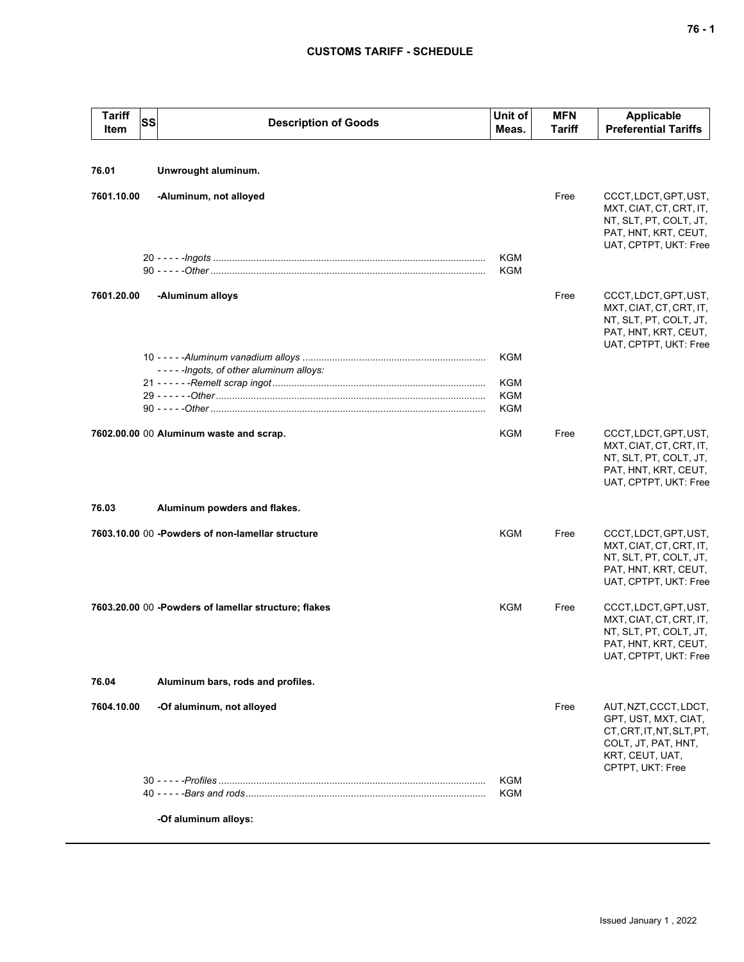## **CUSTOMS TARIFF - SCHEDULE**

| <b>Tariff</b><br><b>SS</b><br>Item | <b>Description of Goods</b>                          | Unit of<br>Meas.         | <b>MFN</b><br>Tariff | <b>Applicable</b><br><b>Preferential Tariffs</b>                                                                                         |
|------------------------------------|------------------------------------------------------|--------------------------|----------------------|------------------------------------------------------------------------------------------------------------------------------------------|
|                                    |                                                      |                          |                      |                                                                                                                                          |
| 76.01                              | Unwrought aluminum.                                  |                          |                      |                                                                                                                                          |
| 7601.10.00                         | -Aluminum, not alloyed                               |                          | Free                 | CCCT, LDCT, GPT, UST,<br>MXT, CIAT, CT, CRT, IT,<br>NT, SLT, PT, COLT, JT,<br>PAT, HNT, KRT, CEUT,<br>UAT, CPTPT, UKT: Free              |
|                                    |                                                      | <b>KGM</b><br><b>KGM</b> |                      |                                                                                                                                          |
| 7601.20.00                         | -Aluminum alloys                                     |                          | Free                 | CCCT, LDCT, GPT, UST,<br>MXT, CIAT, CT, CRT, IT,<br>NT, SLT, PT, COLT, JT,<br>PAT, HNT, KRT, CEUT,<br>UAT, CPTPT, UKT: Free              |
|                                    | -----lngots, of other aluminum alloys:               | <b>KGM</b>               |                      |                                                                                                                                          |
|                                    |                                                      | <b>KGM</b>               |                      |                                                                                                                                          |
|                                    |                                                      | KGM                      |                      |                                                                                                                                          |
|                                    |                                                      | <b>KGM</b>               |                      |                                                                                                                                          |
|                                    | 7602.00.00 00 Aluminum waste and scrap.              | KGM                      | Free                 | CCCT, LDCT, GPT, UST,<br>MXT, CIAT, CT, CRT, IT,<br>NT, SLT, PT, COLT, JT,<br>PAT, HNT, KRT, CEUT,<br>UAT, CPTPT, UKT: Free              |
| 76.03                              | Aluminum powders and flakes.                         |                          |                      |                                                                                                                                          |
|                                    | 7603.10.00 00 - Powders of non-lamellar structure    | KGM                      | Free                 | CCCT, LDCT, GPT, UST,<br>MXT, CIAT, CT, CRT, IT,<br>NT, SLT, PT, COLT, JT,<br>PAT, HNT, KRT, CEUT,<br>UAT, CPTPT, UKT: Free              |
|                                    | 7603.20.00 00 -Powders of lamellar structure; flakes | KGM                      | Free                 | CCCT, LDCT, GPT, UST,<br>MXT, CIAT, CT, CRT, IT,<br>NT, SLT, PT, COLT, JT,<br>PAT, HNT, KRT, CEUT,<br>UAT, CPTPT, UKT: Free              |
| 76.04                              | Aluminum bars, rods and profiles.                    |                          |                      |                                                                                                                                          |
| 7604.10.00                         | -Of aluminum, not alloyed                            |                          | Free                 | AUT, NZT, CCCT, LDCT,<br>GPT, UST, MXT, CIAT,<br>CT, CRT, IT, NT, SLT, PT,<br>COLT, JT, PAT, HNT,<br>KRT, CEUT, UAT,<br>CPTPT, UKT: Free |
|                                    |                                                      | <b>KGM</b><br>KGM        |                      |                                                                                                                                          |
|                                    | -Of aluminum alloys:                                 |                          |                      |                                                                                                                                          |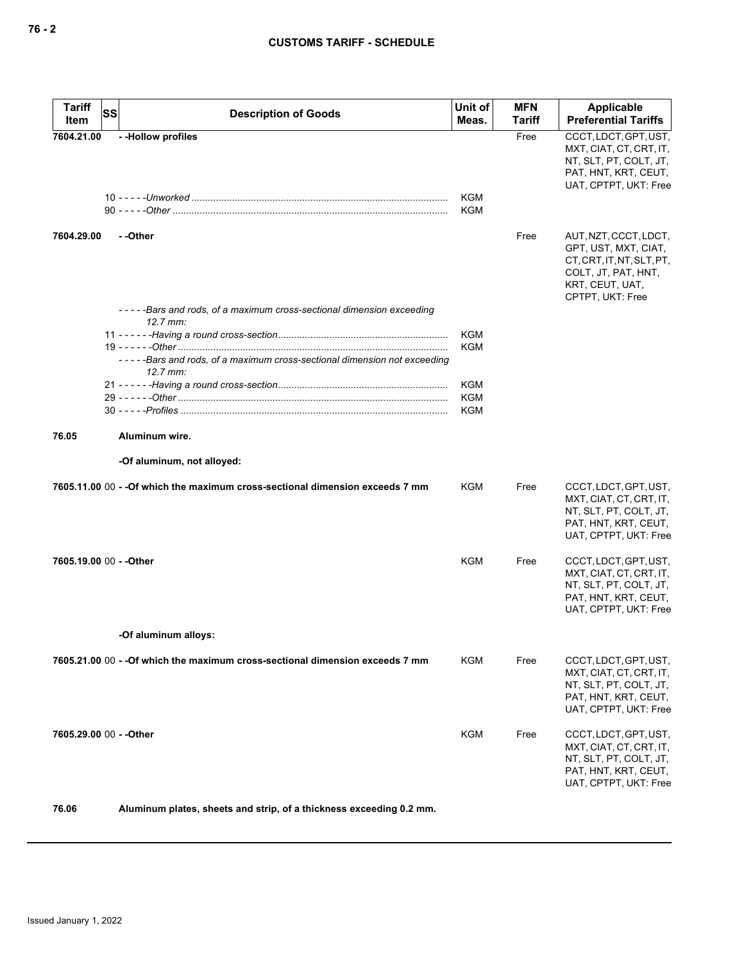| <b>Tariff</b><br>Item   | <b>SS</b> | <b>Description of Goods</b>                                                                   | Unit of<br>Meas.         | <b>MFN</b><br><b>Tariff</b> | Applicable<br><b>Preferential Tariffs</b>                                                                                                |
|-------------------------|-----------|-----------------------------------------------------------------------------------------------|--------------------------|-----------------------------|------------------------------------------------------------------------------------------------------------------------------------------|
| 7604.21.00              |           | - - Hollow profiles                                                                           |                          | Free                        | CCCT, LDCT, GPT, UST,<br>MXT, CIAT, CT, CRT, IT,<br>NT, SLT, PT, COLT, JT,<br>PAT, HNT, KRT, CEUT,<br>UAT, CPTPT, UKT: Free              |
|                         |           |                                                                                               | <b>KGM</b><br><b>KGM</b> |                             |                                                                                                                                          |
| 7604.29.00              |           | - -Other                                                                                      |                          | Free                        | AUT, NZT, CCCT, LDCT,<br>GPT, UST, MXT, CIAT,<br>CT, CRT, IT, NT, SLT, PT,<br>COLT, JT, PAT, HNT,<br>KRT, CEUT, UAT,<br>CPTPT, UKT: Free |
|                         |           | -----Bars and rods, of a maximum cross-sectional dimension exceeding<br>$12.7 \, \text{mm}$ : |                          |                             |                                                                                                                                          |
|                         |           |                                                                                               | <b>KGM</b>               |                             |                                                                                                                                          |
|                         |           | ----Bars and rods, of a maximum cross-sectional dimension not exceeding<br>$12.7$ mm:         | <b>KGM</b>               |                             |                                                                                                                                          |
|                         |           |                                                                                               | <b>KGM</b>               |                             |                                                                                                                                          |
|                         |           |                                                                                               | <b>KGM</b>               |                             |                                                                                                                                          |
|                         |           |                                                                                               | <b>KGM</b>               |                             |                                                                                                                                          |
| 76.05                   |           | Aluminum wire.                                                                                |                          |                             |                                                                                                                                          |
|                         |           | -Of aluminum, not alloyed:                                                                    |                          |                             |                                                                                                                                          |
|                         |           | 7605.11.00 00 - -Of which the maximum cross-sectional dimension exceeds 7 mm                  | KGM                      | Free                        | CCCT, LDCT, GPT, UST,<br>MXT, CIAT, CT, CRT, IT,<br>NT, SLT, PT, COLT, JT,<br>PAT, HNT, KRT, CEUT,<br>UAT, CPTPT, UKT: Free              |
| 7605.19.00 00 - - Other |           |                                                                                               | <b>KGM</b>               | Free                        | CCCT, LDCT, GPT, UST,<br>MXT, CIAT, CT, CRT, IT,<br>NT, SLT, PT, COLT, JT,<br>PAT, HNT, KRT, CEUT,<br>UAT, CPTPT, UKT: Free              |
|                         |           | -Of aluminum alloys:                                                                          |                          |                             |                                                                                                                                          |
|                         |           | 7605.21.00 00 - - Of which the maximum cross-sectional dimension exceeds 7 mm                 | KGM                      | Free                        | CCCT, LDCT, GPT, UST,<br>MXT, CIAT, CT, CRT, IT,<br>NT, SLT, PT, COLT, JT,<br>PAT, HNT, KRT, CEUT,<br>UAT, CPTPT, UKT: Free              |
| 7605.29.00 00 - - Other |           |                                                                                               | KGM                      | Free                        | CCCT, LDCT, GPT, UST,<br>MXT, CIAT, CT, CRT, IT,<br>NT, SLT, PT, COLT, JT,<br>PAT, HNT, KRT, CEUT,<br>UAT, CPTPT, UKT: Free              |

**76.06 Aluminum plates, sheets and strip, of a thickness exceeding 0.2 mm.**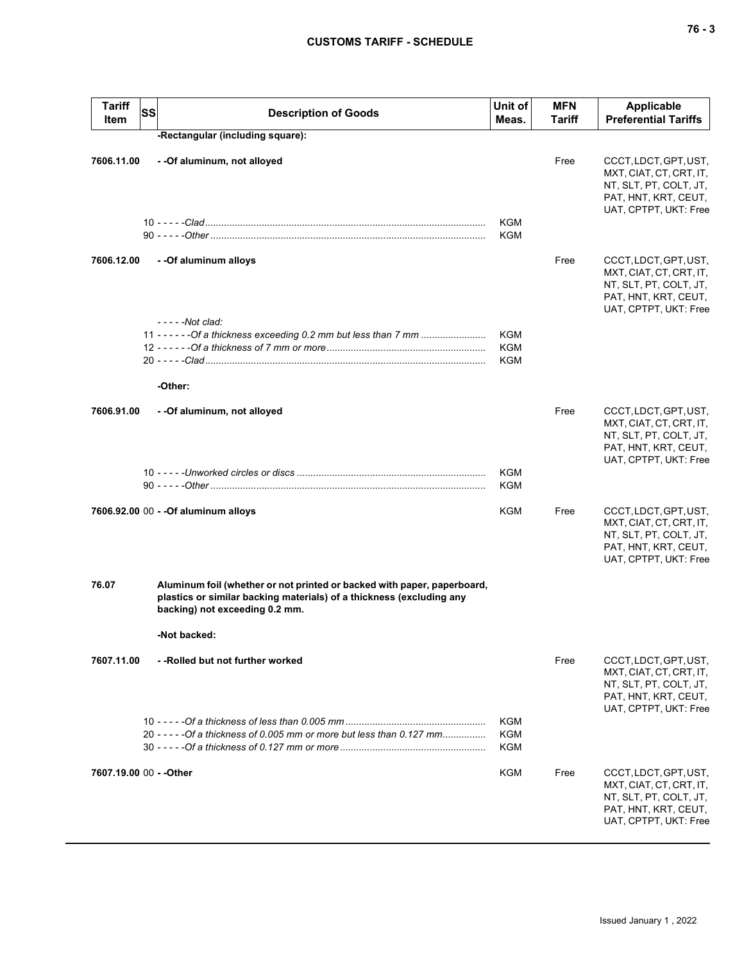# **CUSTOMS TARIFF - SCHEDULE**

| <b>Tariff</b><br>Item   | SS<br><b>Description of Goods</b>                                                                                                                                                 | Unit of<br>Meas.                       | <b>MFN</b><br>Tariff | <b>Applicable</b><br><b>Preferential Tariffs</b>                                                                            |
|-------------------------|-----------------------------------------------------------------------------------------------------------------------------------------------------------------------------------|----------------------------------------|----------------------|-----------------------------------------------------------------------------------------------------------------------------|
|                         | -Rectangular (including square):                                                                                                                                                  |                                        |                      |                                                                                                                             |
| 7606.11.00              | - -Of aluminum, not alloyed                                                                                                                                                       | KGM<br>KGM                             | Free                 | CCCT, LDCT, GPT, UST,<br>MXT, CIAT, CT, CRT, IT,<br>NT, SLT, PT, COLT, JT,<br>PAT, HNT, KRT, CEUT,<br>UAT, CPTPT, UKT: Free |
| 7606.12.00              | - - Of aluminum alloys                                                                                                                                                            |                                        | Free                 | CCCT, LDCT, GPT, UST,<br>MXT, CIAT, CT, CRT, IT,<br>NT, SLT, PT, COLT, JT,<br>PAT, HNT, KRT, CEUT,<br>UAT, CPTPT, UKT: Free |
|                         | $---Not$ clad:<br>11 - - - - - - Of a thickness exceeding 0.2 mm but less than 7 mm                                                                                               | <b>KGM</b><br><b>KGM</b><br><b>KGM</b> |                      |                                                                                                                             |
|                         | -Other:                                                                                                                                                                           |                                        |                      |                                                                                                                             |
| 7606.91.00              | - - Of aluminum, not alloyed                                                                                                                                                      |                                        | Free                 | CCCT, LDCT, GPT, UST,<br>MXT, CIAT, CT, CRT, IT,<br>NT, SLT, PT, COLT, JT,<br>PAT, HNT, KRT, CEUT,<br>UAT, CPTPT, UKT: Free |
|                         |                                                                                                                                                                                   | KGM<br><b>KGM</b>                      |                      |                                                                                                                             |
|                         | 7606.92.00 00 - - Of aluminum alloys                                                                                                                                              | KGM                                    | Free                 | CCCT, LDCT, GPT, UST,<br>MXT, CIAT, CT, CRT, IT,<br>NT, SLT, PT, COLT, JT,<br>PAT, HNT, KRT, CEUT,<br>UAT, CPTPT, UKT: Free |
| 76.07                   | Aluminum foil (whether or not printed or backed with paper, paperboard,<br>plastics or similar backing materials) of a thickness (excluding any<br>backing) not exceeding 0.2 mm. |                                        |                      |                                                                                                                             |
|                         | -Not backed:                                                                                                                                                                      |                                        |                      |                                                                                                                             |
| 7607.11.00              | --Rolled but not further worked                                                                                                                                                   |                                        | Free                 | CCCT, LDCT, GPT, UST,<br>MXT, CIAT, CT, CRT, IT,<br>NT, SLT, PT, COLT, JT,<br>PAT, HNT, KRT, CEUT,<br>UAT, CPTPT, UKT: Free |
|                         | 20 - - - - - Of a thickness of 0.005 mm or more but less than 0.127 mm                                                                                                            | <b>KGM</b><br><b>KGM</b><br><b>KGM</b> |                      |                                                                                                                             |
| 7607.19.00 00 - - Other |                                                                                                                                                                                   | <b>KGM</b>                             | Free                 | CCCT, LDCT, GPT, UST,<br>MXT, CIAT, CT, CRT, IT,<br>NT, SLT, PT, COLT, JT,<br>PAT, HNT, KRT, CEUT,<br>UAT, CPTPT, UKT: Free |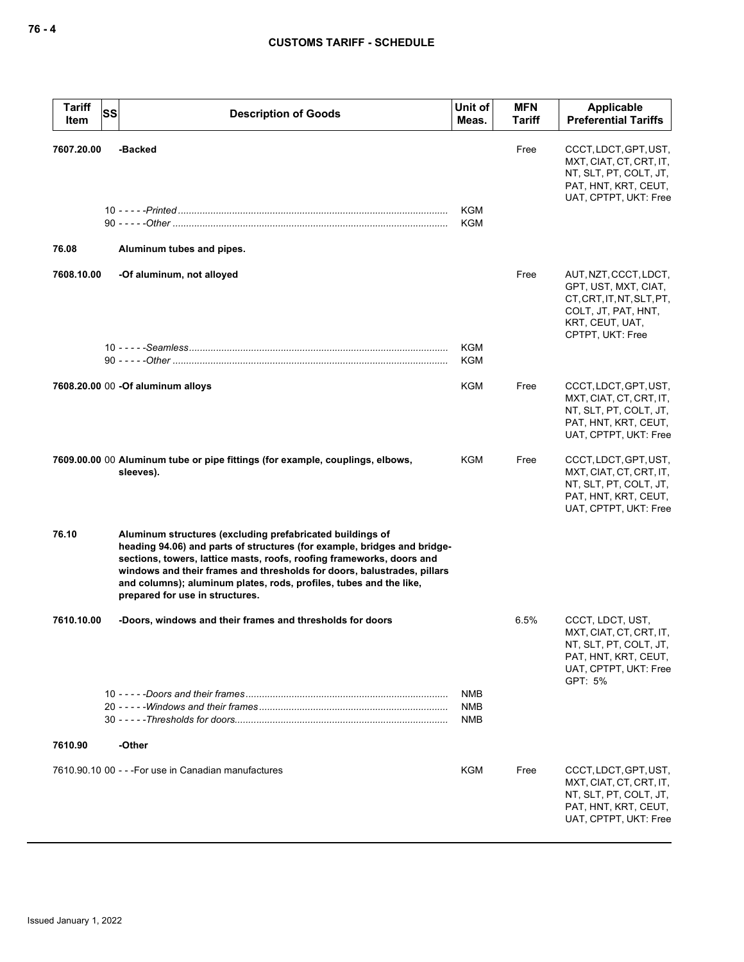| <b>Tariff</b><br>SS<br>Item | <b>Description of Goods</b>                                                                                                                                                                                                                                                                                                                                                                        | Unit of<br>Meas.                | <b>MFN</b><br><b>Tariff</b> | Applicable<br><b>Preferential Tariffs</b>                                                                                         |
|-----------------------------|----------------------------------------------------------------------------------------------------------------------------------------------------------------------------------------------------------------------------------------------------------------------------------------------------------------------------------------------------------------------------------------------------|---------------------------------|-----------------------------|-----------------------------------------------------------------------------------------------------------------------------------|
| 7607.20.00<br>76.08         | -Backed<br>Aluminum tubes and pipes.                                                                                                                                                                                                                                                                                                                                                               | <b>KGM</b><br><b>KGM</b>        | Free                        | CCCT, LDCT, GPT, UST,<br>MXT, CIAT, CT, CRT, IT,<br>NT, SLT, PT, COLT, JT,<br>PAT, HNT, KRT, CEUT,<br>UAT, CPTPT, UKT: Free       |
| 7608.10.00                  | -Of aluminum, not alloyed                                                                                                                                                                                                                                                                                                                                                                          |                                 | Free                        | AUT, NZT, CCCT, LDCT,                                                                                                             |
|                             |                                                                                                                                                                                                                                                                                                                                                                                                    |                                 |                             | GPT, UST, MXT, CIAT,<br>CT, CRT, IT, NT, SLT, PT,<br>COLT, JT, PAT, HNT,<br>KRT, CEUT, UAT,<br>CPTPT, UKT: Free                   |
|                             |                                                                                                                                                                                                                                                                                                                                                                                                    | <b>KGM</b><br>KGM               |                             |                                                                                                                                   |
|                             | 7608.20.00 00 - Of aluminum alloys                                                                                                                                                                                                                                                                                                                                                                 | <b>KGM</b>                      | Free                        | CCCT, LDCT, GPT, UST,<br>MXT, CIAT, CT, CRT, IT,<br>NT, SLT, PT, COLT, JT,<br>PAT, HNT, KRT, CEUT,<br>UAT, CPTPT, UKT: Free       |
|                             | 7609.00.00 00 Aluminum tube or pipe fittings (for example, couplings, elbows,<br>sleeves).                                                                                                                                                                                                                                                                                                         | KGM                             | Free                        | CCCT, LDCT, GPT, UST,<br>MXT, CIAT, CT, CRT, IT,<br>NT, SLT, PT, COLT, JT,<br>PAT, HNT, KRT, CEUT,<br>UAT, CPTPT, UKT: Free       |
| 76.10                       | Aluminum structures (excluding prefabricated buildings of<br>heading 94.06) and parts of structures (for example, bridges and bridge-<br>sections, towers, lattice masts, roofs, roofing frameworks, doors and<br>windows and their frames and thresholds for doors, balustrades, pillars<br>and columns); aluminum plates, rods, profiles, tubes and the like,<br>prepared for use in structures. |                                 |                             |                                                                                                                                   |
| 7610.10.00                  | -Doors, windows and their frames and thresholds for doors                                                                                                                                                                                                                                                                                                                                          |                                 | 6.5%                        | CCCT, LDCT, UST,<br>MXT, CIAT, CT, CRT, IT,<br>NT, SLT, PT, COLT, JT,<br>PAT, HNT, KRT, CEUT,<br>UAT, CPTPT, UKT: Free<br>GPT: 5% |
|                             |                                                                                                                                                                                                                                                                                                                                                                                                    | NMB<br><b>NMB</b><br><b>NMB</b> |                             |                                                                                                                                   |
| 7610.90                     | -Other                                                                                                                                                                                                                                                                                                                                                                                             |                                 |                             |                                                                                                                                   |
|                             | 7610.90.10 00 - - - For use in Canadian manufactures                                                                                                                                                                                                                                                                                                                                               | <b>KGM</b>                      | Free                        | CCCT, LDCT, GPT, UST,<br>MXT, CIAT, CT, CRT, IT,<br>NT, SLT, PT, COLT, JT,<br>PAT, HNT, KRT, CEUT,<br>UAT, CPTPT, UKT: Free       |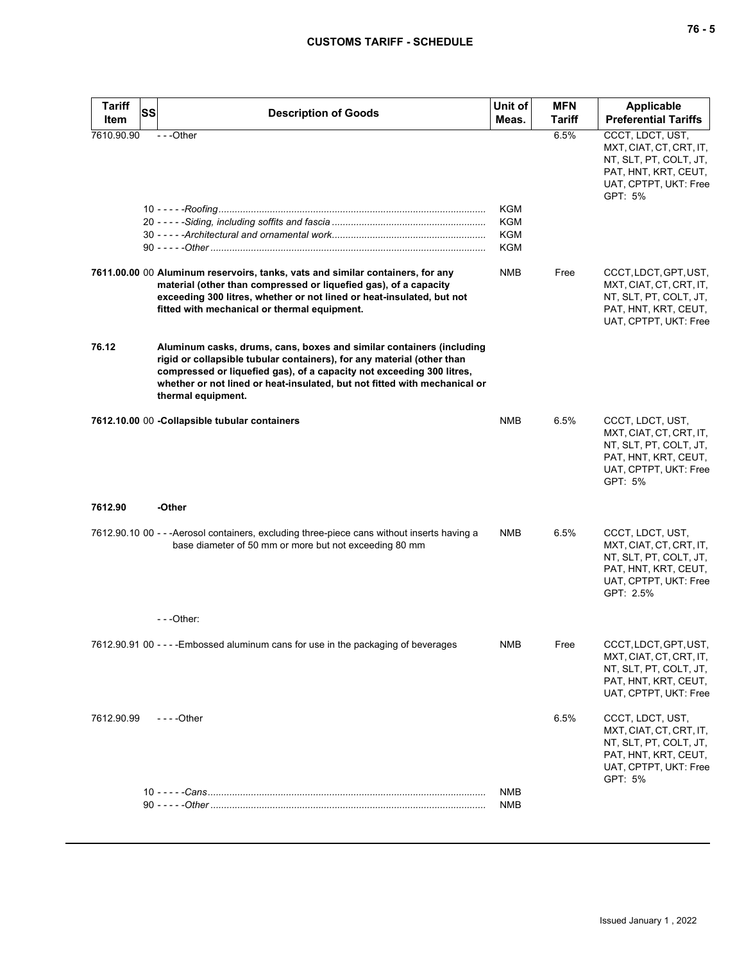| <b>Tariff</b> | <b>SS</b><br><b>Description of Goods</b>                                                                                                                                                                                                                                                                                   | Unit of                  | <b>MFN</b>    | Applicable                                                                                                                          |
|---------------|----------------------------------------------------------------------------------------------------------------------------------------------------------------------------------------------------------------------------------------------------------------------------------------------------------------------------|--------------------------|---------------|-------------------------------------------------------------------------------------------------------------------------------------|
| Item          |                                                                                                                                                                                                                                                                                                                            | Meas.                    | <b>Tariff</b> | <b>Preferential Tariffs</b>                                                                                                         |
| 7610.90.90    | $- -$ Other                                                                                                                                                                                                                                                                                                                | KGM<br>KGM<br>KGM<br>KGM | 6.5%          | CCCT, LDCT, UST,<br>MXT, CIAT, CT, CRT, IT,<br>NT, SLT, PT, COLT, JT,<br>PAT, HNT, KRT, CEUT,<br>UAT, CPTPT, UKT: Free<br>GPT: 5%   |
|               | 7611.00.00 00 Aluminum reservoirs, tanks, vats and similar containers, for any<br>material (other than compressed or liquefied gas), of a capacity<br>exceeding 300 litres, whether or not lined or heat-insulated, but not<br>fitted with mechanical or thermal equipment.                                                | <b>NMB</b>               | Free          | CCCT, LDCT, GPT, UST,<br>MXT, CIAT, CT, CRT, IT,<br>NT, SLT, PT, COLT, JT,<br>PAT, HNT, KRT, CEUT,<br>UAT, CPTPT, UKT: Free         |
| 76.12         | Aluminum casks, drums, cans, boxes and similar containers (including<br>rigid or collapsible tubular containers), for any material (other than<br>compressed or liquefied gas), of a capacity not exceeding 300 litres,<br>whether or not lined or heat-insulated, but not fitted with mechanical or<br>thermal equipment. |                          |               |                                                                                                                                     |
|               | 7612.10.00 00 - Collapsible tubular containers                                                                                                                                                                                                                                                                             | <b>NMB</b>               | 6.5%          | CCCT, LDCT, UST,<br>MXT, CIAT, CT, CRT, IT,<br>NT, SLT, PT, COLT, JT,<br>PAT, HNT, KRT, CEUT,<br>UAT, CPTPT, UKT: Free<br>GPT: 5%   |
| 7612.90       | -Other                                                                                                                                                                                                                                                                                                                     |                          |               |                                                                                                                                     |
|               | 7612.90.10 00 - - - Aerosol containers, excluding three-piece cans without inserts having a<br>base diameter of 50 mm or more but not exceeding 80 mm                                                                                                                                                                      | <b>NMB</b>               | 6.5%          | CCCT, LDCT, UST,<br>MXT, CIAT, CT, CRT, IT,<br>NT, SLT, PT, COLT, JT,<br>PAT, HNT, KRT, CEUT,<br>UAT, CPTPT, UKT: Free<br>GPT: 2.5% |
|               | $-$ - - Other:                                                                                                                                                                                                                                                                                                             |                          |               |                                                                                                                                     |
|               | 7612.90.91 00 - - - - Embossed aluminum cans for use in the packaging of beverages                                                                                                                                                                                                                                         | <b>NMB</b>               | Free          | CCCT, LDCT, GPT, UST,<br>MXT, CIAT, CT, CRT, IT,<br>NT, SLT, PT, COLT, JT,<br>PAT, HNT, KRT, CEUT,<br>UAT, CPTPT, UKT: Free         |
| 7612.90.99    | $- - -$ Other                                                                                                                                                                                                                                                                                                              |                          | 6.5%          | CCCT, LDCT, UST,<br>MXT, CIAT, CT, CRT, IT,<br>NT, SLT, PT, COLT, JT,<br>PAT, HNT, KRT, CEUT,<br>UAT, CPTPT, UKT: Free<br>GPT: 5%   |
|               |                                                                                                                                                                                                                                                                                                                            | <b>NMB</b>               |               |                                                                                                                                     |
|               |                                                                                                                                                                                                                                                                                                                            | NMB                      |               |                                                                                                                                     |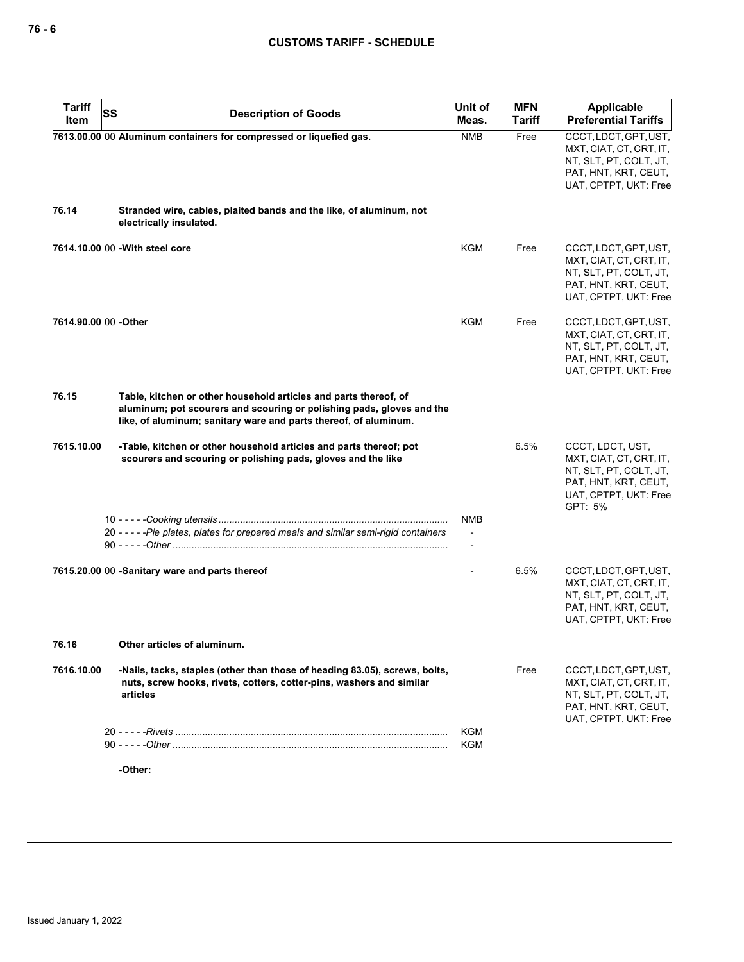| <b>Tariff</b><br>SS<br>Item | <b>Description of Goods</b>                                                                                                                                                                                   | Unit of<br>Meas.                           | <b>MFN</b><br><b>Tariff</b> | Applicable<br><b>Preferential Tariffs</b>                                                                                         |
|-----------------------------|---------------------------------------------------------------------------------------------------------------------------------------------------------------------------------------------------------------|--------------------------------------------|-----------------------------|-----------------------------------------------------------------------------------------------------------------------------------|
|                             | 7613.00.00 00 Aluminum containers for compressed or liquefied gas.                                                                                                                                            | <b>NMB</b>                                 | Free                        | CCCT, LDCT, GPT, UST,<br>MXT, CIAT, CT, CRT, IT,<br>NT, SLT, PT, COLT, JT,<br>PAT, HNT, KRT, CEUT,<br>UAT, CPTPT, UKT: Free       |
| 76.14                       | Stranded wire, cables, plaited bands and the like, of aluminum, not<br>electrically insulated.                                                                                                                |                                            |                             |                                                                                                                                   |
|                             | 7614.10.00 00 - With steel core                                                                                                                                                                               | KGM                                        | Free                        | CCCT, LDCT, GPT, UST,<br>MXT, CIAT, CT, CRT, IT,<br>NT, SLT, PT, COLT, JT,<br>PAT, HNT, KRT, CEUT,<br>UAT, CPTPT, UKT: Free       |
| 7614.90.00 00 -Other        |                                                                                                                                                                                                               | KGM                                        | Free                        | CCCT, LDCT, GPT, UST,<br>MXT, CIAT, CT, CRT, IT,<br>NT, SLT, PT, COLT, JT,<br>PAT, HNT, KRT, CEUT,<br>UAT, CPTPT, UKT: Free       |
| 76.15                       | Table, kitchen or other household articles and parts thereof, of<br>aluminum; pot scourers and scouring or polishing pads, gloves and the<br>like, of aluminum; sanitary ware and parts thereof, of aluminum. |                                            |                             |                                                                                                                                   |
| 7615.10.00                  | -Table, kitchen or other household articles and parts thereof; pot<br>scourers and scouring or polishing pads, gloves and the like                                                                            |                                            | 6.5%                        | CCCT, LDCT, UST,<br>MXT, CIAT, CT, CRT, IT,<br>NT, SLT, PT, COLT, JT,<br>PAT, HNT, KRT, CEUT,<br>UAT, CPTPT, UKT: Free<br>GPT: 5% |
|                             |                                                                                                                                                                                                               | NMB                                        |                             |                                                                                                                                   |
|                             | 20 - - - - - Pie plates, plates for prepared meals and similar semi-rigid containers                                                                                                                          | $\blacksquare$<br>$\overline{\phantom{a}}$ |                             |                                                                                                                                   |
|                             | 7615.20.00 00 -Sanitary ware and parts thereof                                                                                                                                                                |                                            | 6.5%                        | CCCT, LDCT, GPT, UST,<br>MXT, CIAT, CT, CRT, IT,<br>NT, SLT, PT, COLT, JT,<br>PAT, HNT, KRT, CEUT,<br>UAT, CPTPT, UKT: Free       |
| 76.16                       | Other articles of aluminum.                                                                                                                                                                                   |                                            |                             |                                                                                                                                   |
| 7616.10.00                  | -Nails, tacks, staples (other than those of heading 83.05), screws, bolts,<br>nuts, screw hooks, rivets, cotters, cotter-pins, washers and similar<br>articles                                                |                                            | Free                        | CCCT, LDCT, GPT, UST,<br>MXT, CIAT, CT, CRT, IT,<br>NT, SLT, PT, COLT, JT,<br>PAT, HNT, KRT, CEUT,<br>UAT, CPTPT, UKT: Free       |
|                             |                                                                                                                                                                                                               | <b>KGM</b><br><b>KGM</b>                   |                             |                                                                                                                                   |
|                             | -Other:                                                                                                                                                                                                       |                                            |                             |                                                                                                                                   |